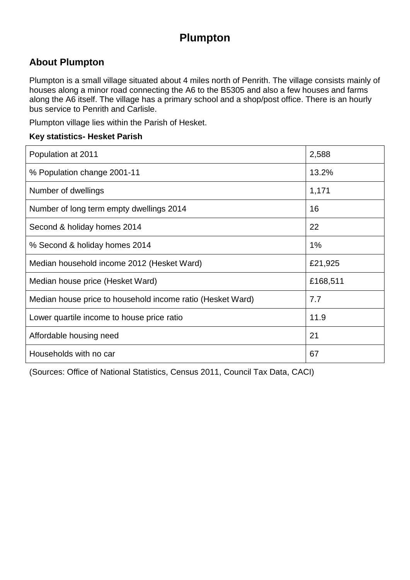## **Plumpton**

### **About Plumpton**

Plumpton is a small village situated about 4 miles north of Penrith. The village consists mainly of houses along a minor road connecting the A6 to the B5305 and also a few houses and farms along the A6 itself. The village has a primary school and a shop/post office. There is an hourly bus service to Penrith and Carlisle.

Plumpton village lies within the Parish of Hesket.

#### **Key statistics- Hesket Parish**

| Population at 2011                                         | 2,588    |
|------------------------------------------------------------|----------|
| % Population change 2001-11                                | 13.2%    |
| Number of dwellings                                        | 1,171    |
| Number of long term empty dwellings 2014                   | 16       |
| Second & holiday homes 2014                                | 22       |
| % Second & holiday homes 2014                              | $1\%$    |
| Median household income 2012 (Hesket Ward)                 | £21,925  |
| Median house price (Hesket Ward)                           | £168,511 |
| Median house price to household income ratio (Hesket Ward) | 7.7      |
| Lower quartile income to house price ratio                 | 11.9     |
| Affordable housing need                                    | 21       |
| Households with no car                                     | 67       |

(Sources: Office of National Statistics, Census 2011, Council Tax Data, CACI)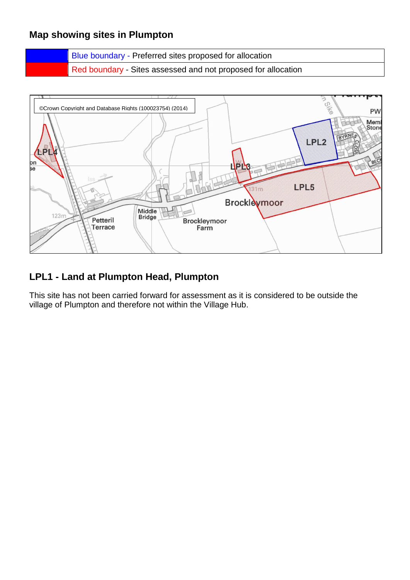### **Map showing sites in Plumpton**

Blue boundary - Preferred sites proposed for allocation Red boundary - Sites assessed and not proposed for allocation



### **LPL1 - Land at Plumpton Head, Plumpton**

This site has not been carried forward for assessment as it is considered to be outside the village of Plumpton and therefore not within the Village Hub.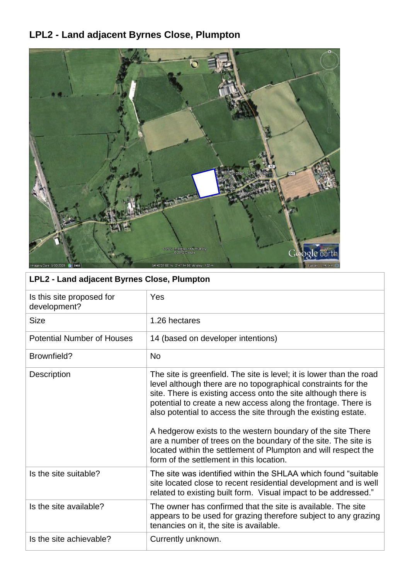# **LPL2 - Land adjacent Byrnes Close, Plumpton**



| LPL2 - Land adjacent Byrnes Close, Plumpton |  |
|---------------------------------------------|--|
|                                             |  |

| Is this site proposed for<br>development? | Yes                                                                                                                                                                                                                                                                                                                                                                                                                                                                                                                                                                                       |
|-------------------------------------------|-------------------------------------------------------------------------------------------------------------------------------------------------------------------------------------------------------------------------------------------------------------------------------------------------------------------------------------------------------------------------------------------------------------------------------------------------------------------------------------------------------------------------------------------------------------------------------------------|
| <b>Size</b>                               | 1.26 hectares                                                                                                                                                                                                                                                                                                                                                                                                                                                                                                                                                                             |
| <b>Potential Number of Houses</b>         | 14 (based on developer intentions)                                                                                                                                                                                                                                                                                                                                                                                                                                                                                                                                                        |
| Brownfield?                               | <b>No</b>                                                                                                                                                                                                                                                                                                                                                                                                                                                                                                                                                                                 |
| Description                               | The site is greenfield. The site is level; it is lower than the road<br>level although there are no topographical constraints for the<br>site. There is existing access onto the site although there is<br>potential to create a new access along the frontage. There is<br>also potential to access the site through the existing estate.<br>A hedgerow exists to the western boundary of the site There<br>are a number of trees on the boundary of the site. The site is<br>located within the settlement of Plumpton and will respect the<br>form of the settlement in this location. |
| Is the site suitable?                     | The site was identified within the SHLAA which found "suitable"<br>site located close to recent residential development and is well<br>related to existing built form. Visual impact to be addressed."                                                                                                                                                                                                                                                                                                                                                                                    |
| Is the site available?                    | The owner has confirmed that the site is available. The site<br>appears to be used for grazing therefore subject to any grazing<br>tenancies on it, the site is available.                                                                                                                                                                                                                                                                                                                                                                                                                |
| Is the site achievable?                   | Currently unknown.                                                                                                                                                                                                                                                                                                                                                                                                                                                                                                                                                                        |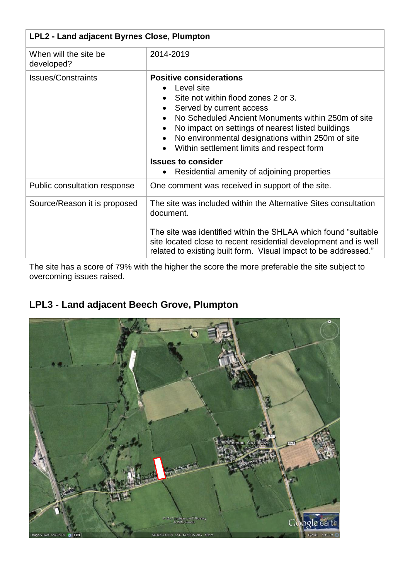| LPL2 - Land adjacent Byrnes Close, Plumpton |                                                                                                                                                                                                                                                                                                                                                                                                                       |
|---------------------------------------------|-----------------------------------------------------------------------------------------------------------------------------------------------------------------------------------------------------------------------------------------------------------------------------------------------------------------------------------------------------------------------------------------------------------------------|
| When will the site be<br>developed?         | 2014-2019                                                                                                                                                                                                                                                                                                                                                                                                             |
| <b>Issues/Constraints</b>                   | <b>Positive considerations</b><br>Level site<br>Site not within flood zones 2 or 3.<br>Served by current access<br>No Scheduled Ancient Monuments within 250m of site<br>No impact on settings of nearest listed buildings<br>No environmental designations within 250m of site<br>Within settlement limits and respect form<br><b>Issues to consider</b><br>Residential amenity of adjoining properties<br>$\bullet$ |
| Public consultation response                | One comment was received in support of the site.                                                                                                                                                                                                                                                                                                                                                                      |
| Source/Reason it is proposed                | The site was included within the Alternative Sites consultation<br>document.<br>The site was identified within the SHLAA which found "suitable"<br>site located close to recent residential development and is well<br>related to existing built form. Visual impact to be addressed."                                                                                                                                |

The site has a score of 79% with the higher the score the more preferable the site subject to overcoming issues raised.

## **LPL3 - Land adjacent Beech Grove, Plumpton**

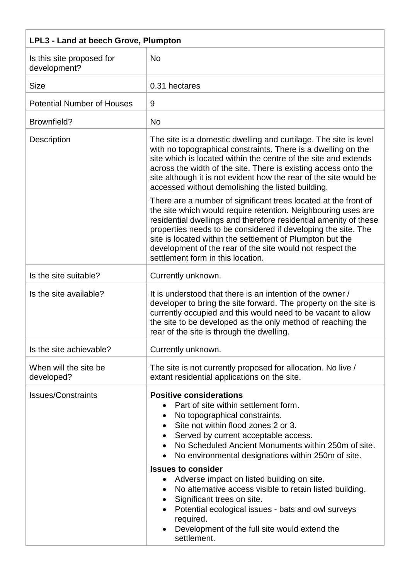| LPL3 - Land at beech Grove, Plumpton      |                                                                                                                                                                                                                                                                                                                                                                                                                                                                                                                                                                                                                          |
|-------------------------------------------|--------------------------------------------------------------------------------------------------------------------------------------------------------------------------------------------------------------------------------------------------------------------------------------------------------------------------------------------------------------------------------------------------------------------------------------------------------------------------------------------------------------------------------------------------------------------------------------------------------------------------|
| Is this site proposed for<br>development? | <b>No</b>                                                                                                                                                                                                                                                                                                                                                                                                                                                                                                                                                                                                                |
| <b>Size</b>                               | 0.31 hectares                                                                                                                                                                                                                                                                                                                                                                                                                                                                                                                                                                                                            |
| <b>Potential Number of Houses</b>         | 9                                                                                                                                                                                                                                                                                                                                                                                                                                                                                                                                                                                                                        |
| Brownfield?                               | <b>No</b>                                                                                                                                                                                                                                                                                                                                                                                                                                                                                                                                                                                                                |
| Description                               | The site is a domestic dwelling and curtilage. The site is level<br>with no topographical constraints. There is a dwelling on the<br>site which is located within the centre of the site and extends<br>across the width of the site. There is existing access onto the<br>site although it is not evident how the rear of the site would be<br>accessed without demolishing the listed building.                                                                                                                                                                                                                        |
|                                           | There are a number of significant trees located at the front of<br>the site which would require retention. Neighbouring uses are<br>residential dwellings and therefore residential amenity of these<br>properties needs to be considered if developing the site. The<br>site is located within the settlement of Plumpton but the<br>development of the rear of the site would not respect the<br>settlement form in this location.                                                                                                                                                                                     |
| Is the site suitable?                     | Currently unknown.                                                                                                                                                                                                                                                                                                                                                                                                                                                                                                                                                                                                       |
| Is the site available?                    | It is understood that there is an intention of the owner /<br>developer to bring the site forward. The property on the site is<br>currently occupied and this would need to be vacant to allow<br>the site to be developed as the only method of reaching the<br>rear of the site is through the dwelling.                                                                                                                                                                                                                                                                                                               |
| Is the site achievable?                   | Currently unknown.                                                                                                                                                                                                                                                                                                                                                                                                                                                                                                                                                                                                       |
| When will the site be<br>developed?       | The site is not currently proposed for allocation. No live /<br>extant residential applications on the site.                                                                                                                                                                                                                                                                                                                                                                                                                                                                                                             |
| <b>Issues/Constraints</b>                 | <b>Positive considerations</b><br>Part of site within settlement form.<br>No topographical constraints.<br>Site not within flood zones 2 or 3.<br>Served by current acceptable access.<br>No Scheduled Ancient Monuments within 250m of site.<br>No environmental designations within 250m of site.<br><b>Issues to consider</b><br>Adverse impact on listed building on site.<br>$\bullet$<br>No alternative access visible to retain listed building.<br>Significant trees on site.<br>Potential ecological issues - bats and owl surveys<br>required.<br>Development of the full site would extend the<br>settlement. |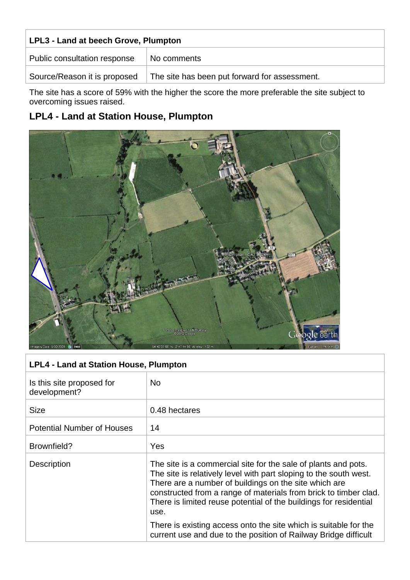| LPL3 - Land at beech Grove, Plumpton |                                               |  |
|--------------------------------------|-----------------------------------------------|--|
| Public consultation response         | No comments                                   |  |
| Source/Reason it is proposed         | The site has been put forward for assessment. |  |

The site has a score of 59% with the higher the score the more preferable the site subject to overcoming issues raised.

## **LPL4 - Land at Station House, Plumpton**



| <b>LPL4 - Land at Station House, Plumpton</b> |                                                                                                                                                                                                                                                                                                                                               |
|-----------------------------------------------|-----------------------------------------------------------------------------------------------------------------------------------------------------------------------------------------------------------------------------------------------------------------------------------------------------------------------------------------------|
| Is this site proposed for<br>development?     | <b>No</b>                                                                                                                                                                                                                                                                                                                                     |
| <b>Size</b>                                   | 0.48 hectares                                                                                                                                                                                                                                                                                                                                 |
| <b>Potential Number of Houses</b>             | 14                                                                                                                                                                                                                                                                                                                                            |
| Brownfield?                                   | Yes                                                                                                                                                                                                                                                                                                                                           |
| <b>Description</b>                            | The site is a commercial site for the sale of plants and pots.<br>The site is relatively level with part sloping to the south west.<br>There are a number of buildings on the site which are<br>constructed from a range of materials from brick to timber clad.<br>There is limited reuse potential of the buildings for residential<br>use. |
|                                               | There is existing access onto the site which is suitable for the<br>current use and due to the position of Railway Bridge difficult                                                                                                                                                                                                           |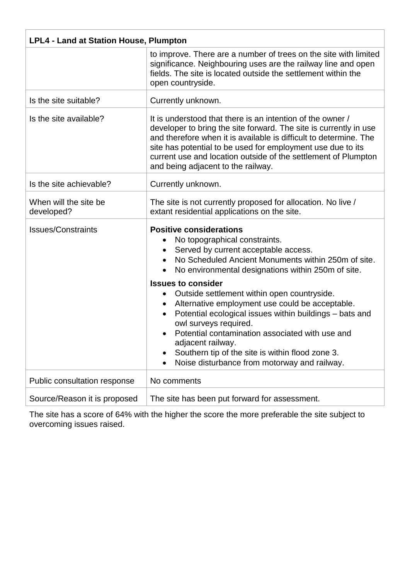| <b>LPL4 - Land at Station House, Plumpton</b> |                                                                                                                                                                                                                                                                                                                                                                                                                                                                                                                                                                                                                                       |
|-----------------------------------------------|---------------------------------------------------------------------------------------------------------------------------------------------------------------------------------------------------------------------------------------------------------------------------------------------------------------------------------------------------------------------------------------------------------------------------------------------------------------------------------------------------------------------------------------------------------------------------------------------------------------------------------------|
|                                               | to improve. There are a number of trees on the site with limited<br>significance. Neighbouring uses are the railway line and open<br>fields. The site is located outside the settlement within the<br>open countryside.                                                                                                                                                                                                                                                                                                                                                                                                               |
| Is the site suitable?                         | Currently unknown.                                                                                                                                                                                                                                                                                                                                                                                                                                                                                                                                                                                                                    |
| Is the site available?                        | It is understood that there is an intention of the owner /<br>developer to bring the site forward. The site is currently in use<br>and therefore when it is available is difficult to determine. The<br>site has potential to be used for employment use due to its<br>current use and location outside of the settlement of Plumpton<br>and being adjacent to the railway.                                                                                                                                                                                                                                                           |
| Is the site achievable?                       | Currently unknown.                                                                                                                                                                                                                                                                                                                                                                                                                                                                                                                                                                                                                    |
| When will the site be<br>developed?           | The site is not currently proposed for allocation. No live /<br>extant residential applications on the site.                                                                                                                                                                                                                                                                                                                                                                                                                                                                                                                          |
| <b>Issues/Constraints</b>                     | <b>Positive considerations</b><br>No topographical constraints.<br>Served by current acceptable access.<br>No Scheduled Ancient Monuments within 250m of site.<br>No environmental designations within 250m of site.<br><b>Issues to consider</b><br>Outside settlement within open countryside.<br>$\bullet$<br>Alternative employment use could be acceptable.<br>٠<br>Potential ecological issues within buildings - bats and<br>owl surveys required.<br>Potential contamination associated with use and<br>adjacent railway.<br>Southern tip of the site is within flood zone 3.<br>Noise disturbance from motorway and railway. |
| Public consultation response                  | No comments                                                                                                                                                                                                                                                                                                                                                                                                                                                                                                                                                                                                                           |
| Source/Reason it is proposed                  | The site has been put forward for assessment.                                                                                                                                                                                                                                                                                                                                                                                                                                                                                                                                                                                         |

The site has a score of 64% with the higher the score the more preferable the site subject to overcoming issues raised.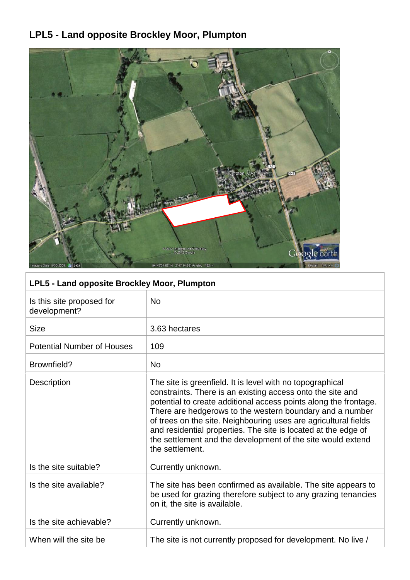## **LPL5 - Land opposite Brockley Moor, Plumpton**



## **LPL5 - Land opposite Brockley Moor, Plumpton**

| Is this site proposed for<br>development? | <b>No</b>                                                                                                                                                                                                                                                                                                                                                                                                                                                                      |
|-------------------------------------------|--------------------------------------------------------------------------------------------------------------------------------------------------------------------------------------------------------------------------------------------------------------------------------------------------------------------------------------------------------------------------------------------------------------------------------------------------------------------------------|
| <b>Size</b>                               | 3.63 hectares                                                                                                                                                                                                                                                                                                                                                                                                                                                                  |
| <b>Potential Number of Houses</b>         | 109                                                                                                                                                                                                                                                                                                                                                                                                                                                                            |
| Brownfield?                               | <b>No</b>                                                                                                                                                                                                                                                                                                                                                                                                                                                                      |
| <b>Description</b>                        | The site is greenfield. It is level with no topographical<br>constraints. There is an existing access onto the site and<br>potential to create additional access points along the frontage.<br>There are hedgerows to the western boundary and a number<br>of trees on the site. Neighbouring uses are agricultural fields<br>and residential properties. The site is located at the edge of<br>the settlement and the development of the site would extend<br>the settlement. |
| Is the site suitable?                     | Currently unknown.                                                                                                                                                                                                                                                                                                                                                                                                                                                             |
| Is the site available?                    | The site has been confirmed as available. The site appears to<br>be used for grazing therefore subject to any grazing tenancies<br>on it, the site is available.                                                                                                                                                                                                                                                                                                               |
| Is the site achievable?                   | Currently unknown.                                                                                                                                                                                                                                                                                                                                                                                                                                                             |
| When will the site be                     | The site is not currently proposed for development. No live /                                                                                                                                                                                                                                                                                                                                                                                                                  |